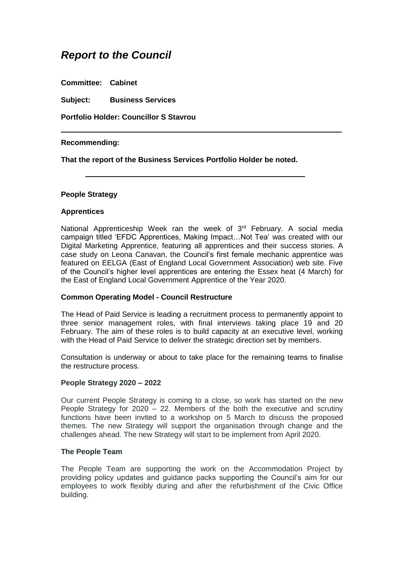# *Report to the Council*

**Committee: Cabinet**

**Subject: Business Services**

**Portfolio Holder: Councillor S Stavrou**

# **Recommending:**

**That the report of the Business Services Portfolio Holder be noted.**

#### **People Strategy**

# **Apprentices**

National Apprenticeship Week ran the week of 3<sup>rd</sup> February. A social media campaign titled 'EFDC Apprentices, Making Impact…Not Tea' was created with our Digital Marketing Apprentice, featuring all apprentices and their success stories. A case study on Leona Canavan, the Council's first female mechanic apprentice was featured on EELGA (East of England Local Government Association) web site. Five of the Council's higher level apprentices are entering the Essex heat (4 March) for the East of England Local Government Apprentice of the Year 2020.

#### **Common Operating Model - Council Restructure**

The Head of Paid Service is leading a recruitment process to permanently appoint to three senior management roles, with final interviews taking place 19 and 20 February. The aim of these roles is to build capacity at an executive level, working with the Head of Paid Service to deliver the strategic direction set by members.

Consultation is underway or about to take place for the remaining teams to finalise the restructure process.

#### **People Strategy 2020 – 2022**

Our current People Strategy is coming to a close, so work has started on the new People Strategy for  $2020 - 22$ . Members of the both the executive and scrutiny functions have been invited to a workshop on 5 March to discuss the proposed themes. The new Strategy will support the organisation through change and the challenges ahead. The new Strategy will start to be implement from April 2020.

#### **The People Team**

The People Team are supporting the work on the Accommodation Project by providing policy updates and guidance packs supporting the Council's aim for our employees to work flexibly during and after the refurbishment of the Civic Office building.